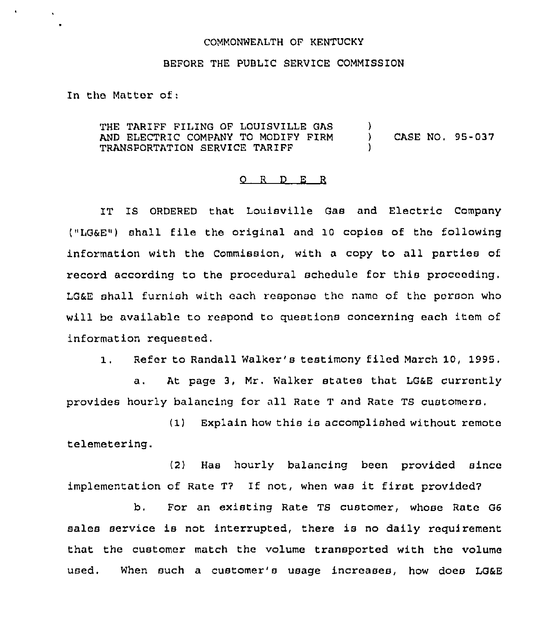## COMMONWEALTH OF KENTUCKY

## BEFORE THE PUBLIC SERVICE COMMISSION

In the Matter of:

 $\bullet$ 

 $\mathbf{v}$ 

THE TARIFF FILING OF LOUISVILLE GAS AND ELECTRIC COMPANY TO MODIFY FIRM TRANSPORTATION SERVICE TARIFF  $\left\{ \right\}$ ) CASE NO, 95-037 )

## 0 <sup>R</sup> <sup>D</sup> E <sup>R</sup>

IT IS ORDERED that Louisville Gas and Electric Company ("LG6E") shall file the original and 10 copies of the following information with the Commission, with a copy to all parties of. record according to the procedural schedule for this proceeding, LGaE shall furnish with each response thc name of the parson who will be available to respond to questions concerning each item of information requested,

 $1.$ Refer to Randall Walker's testimony filed March 10, 1995,

a. At page 3, Mr. Walker states that LG&E currently provides hourly balancing for all Rate <sup>T</sup> and Rate TS customers.

(1) Explain how this is accomplished without remote telemetering.

(2) Has hourly balancing been provided since implementation of Rate T7 If not, when was it first provided7

b. For an existing Rate TS customer, whose Rate G6 sales service is not interrupted, there is no daily requirement that the customer match the volume transported with the volume used. When such a customer's usage increases, how does LG&E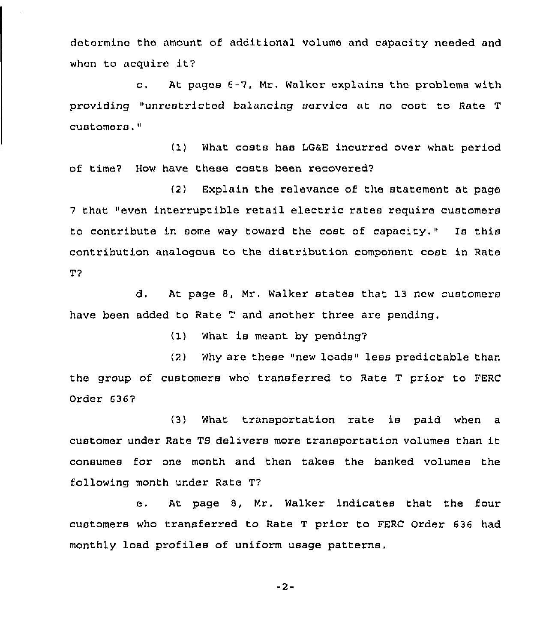determine the amount of additional volume and capacity needed and when to acquire it?

c. At pages 6-7, Mr. Walker explains the problems with providing "unrestricted balancing service at no cost to Rate <sup>T</sup> customers,"

(1) What costs has LG&E incurred over what period of time7 How have these costs been recovered7

(2) Explain the relevance of the statement at page <sup>7</sup> that "even interruptible retail electric rates require customers to contribute in some way toward the cost of capacity." Is this contribution analogous to the distribution component cost in Rate T7

d. At page 8, Mr. Walker states that 13 ncw customers have been added to Rate T and another three are pending,

 $(1)$  What is meant by pending?

(2) Why are these "new loads" less predictable than the group of customers who transferred to Rate T prior to FERC Order 6367

(3) What transportation rate is paid when a customer under Rate TS delivers more transportation volumes than it consumes for one month and then takes the banked volumes the following month under Rate T7

e. At page 8, Mr. Walker indicates that the four customers who transferred to Rate T prior to FERC Order 636 had monthly load profiles of uniform usage patterns.

 $-2-$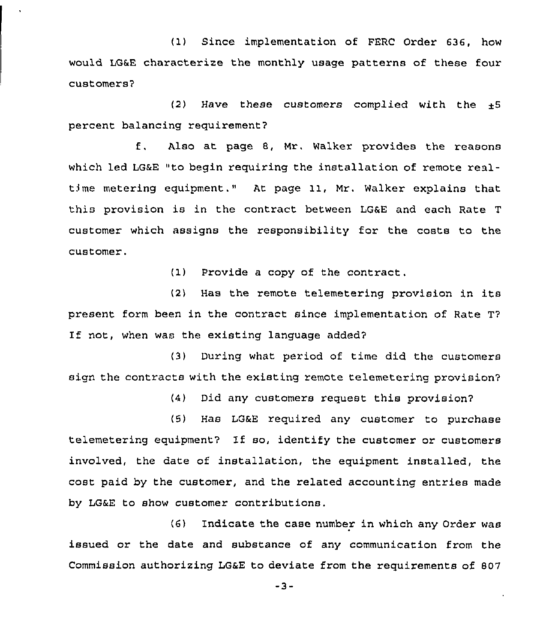(1) Since implementation of FERC Order 636, how would LG&E characterize the monthly usage patterns of these four customers7

 $(2)$  Have these customers complied with the  $+5$ percent balancing requirement?

f, Also at page 8, Mr. Walker provides the reasons which led LG&E "to begin requiring the installation of remote realtime metering equipment." At page 11, Mr. Walker explains that this provision is in the contract between LG&E and each Rate <sup>T</sup> customer which assigns the responsibility for the costs to the customer,

(1) Provide a copy of the contract.

(2) Has the remote telemetering provision in its present form been in the contract since implementation of Rate T? If not, when was the existing language added?

(3) During what period of time did the customers sign the contracts with the existing remote telemetering provision?

(4) Did any customers request this provision'?

(5) Has LG&E required any customer to purchase telemetering equipment7 If so, identify the customer or customers involved, the date of installation, the equipment installed, the cost paid by the customer, and the related accounting entries made by LG&E to show customer contributions.

(6) Indicate the case number in which any Order was issued or the date and substance of any communication from the Commission authorizing LG&E to deviate from the requirements of 807

 $-3-$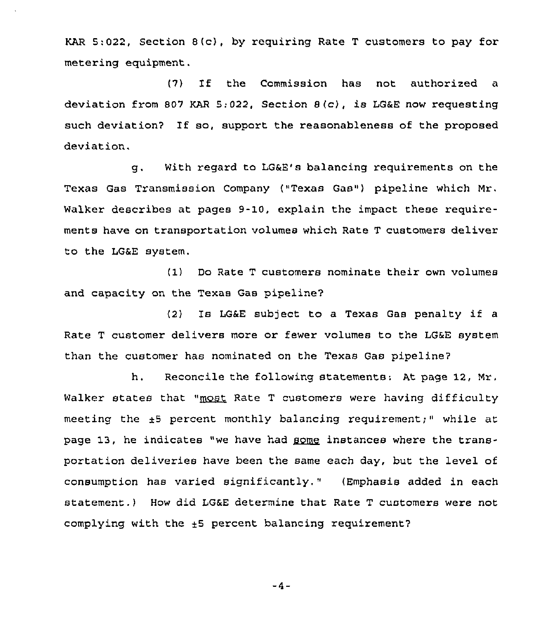KAR 5:022, Section 8(c), by requiring Rate <sup>T</sup> customers to pay for metering equipment.

(7) If the Commission has not authorized <sup>a</sup> deviation from <sup>807</sup> KAR 5:022, Section 8(c}, is LG&E now requesting such deviation7 If so, support the reasonableness of the proposed deviation.

g. With regard to LG&E's balancing requirements on the Texas Gas Transmission Company {"Texas Gas") pipeline which Mr. Walker describes at pages 9-10, explain the impact these requirements have on transportation volumes which Rate T customers deliver to the LG&E system.

(1) Do Rate T customers nominate their own volumes and capacity on the Texas Gas pipeline7

(2) Is LG&E sub)ect to a Texas Gas penalty if <sup>a</sup> Rate T customer delivers more or fewer volumes to the LG&E system than the customer has nominated on the Texas Gas pipeline7

h. Reconcile the following statements: At page 12, Mr. Walker states that "most Rate T customers were having difficulty meeting the  $\pm 5$  percent monthly balancing requirement;" while at page 13, he indicates "we have had **gome** instances where the transportation deliveries have been the same each day, but the level of consumption has varied significantly." {Emphasis added in each statement.) How did LG&E determine that Rate T customers were not complying with the  $+5$  percent balancing requirement?

 $-4-$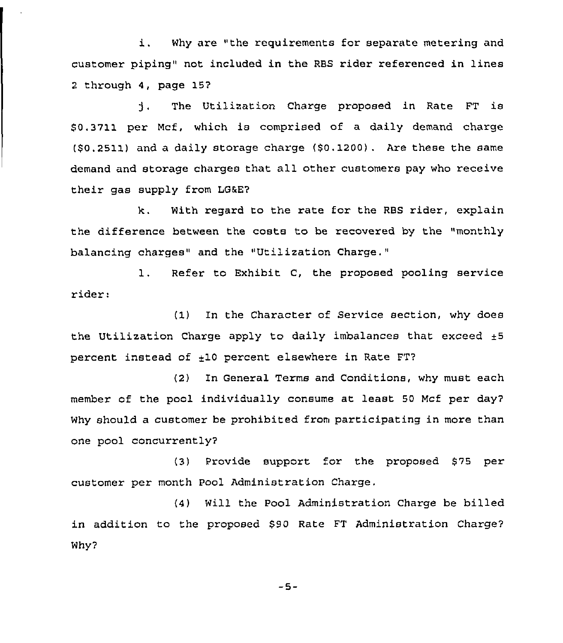i. Why are "the requirements for separate metering and customer piping" not included in the RBS rider referenced in lines 2 through 4, page 157

The Utilization Charge proposed in Rate FT is  $\mathbf{1}$ \$ 0.3711 per Mcf, which is comprised of a daily demand charge (\$0.2511) and a daily storage charge (\$0, 1200). Are these the same demand and storage charges that all other customers pay who receive their gas supply from LG&E?

k. With regard to the rate for the RBS rider, explain the difference between the costs to be recovered by the "monthly balancing charges" and the "Utilization Charge."

1. Refer to Exhibit C, the proposed pooling service rider:

(1) In the Character of Service section, why does the Utilization Charge apply to daily imbalances that exceed  $\pm 5$ percent instead of  $\pm 10$  percent elsewhere in Rate FT?

(2) In General Terms and Conditions, why must each member of the pool individually consume at least 50 Mcf per day7 Why should a customer be prohibited from participating in more than one pool concurrently'

(3) Provide support for the pzoposed \$75 per customer per month Pool Administration Charge.

(4) Will the Pool Administration Charge be billed in addition to the proposed \$90 Rate FT Administration Charge? Why?

 $-5-$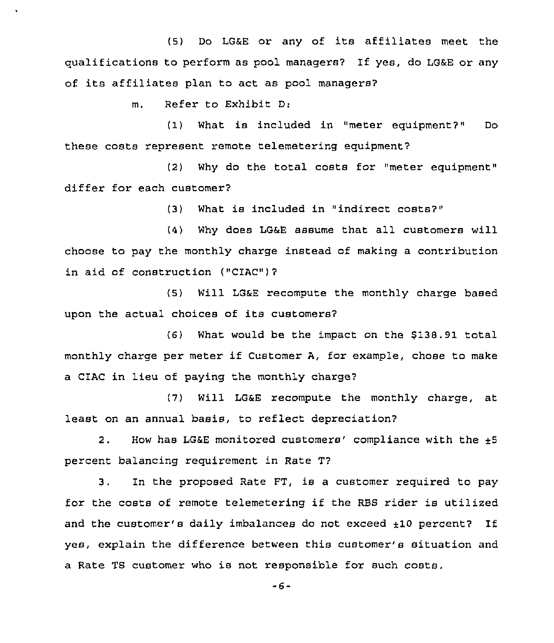(5) Do LG&E or any of its affiliates meet the qualifications to perform as pool managers7 If yes, do LG&E or any of its affiliates plan to act as pool managers7

m. Refer to Exhibit D:

(1) What is included in "meter equipment7" Do these costs represent remote telemetering equipment7

(2) Why do the total costs for "meter equipment" differ for each customer?

(3) What is included in "indirect costs7"

(4) Why does LGaE assume that all customers will chocse to pay the monthly charge instead of making a contribution in aid of construction ("CIAC")7

(5) Will LGaE recompute the monthly charge based upon the actual choices of its customers?

(6) What would be the impact on the \$138.91 total monthly charge per meter if Customer A, for example, chose to make a CIAC in lieu of paying the monthly charge7

(7) Will LGaE recompute the monthly charge, at least on an annual basis, to reflect depreciation7

2. How has LG&E monitored customers' compliance with the  $+5$ percent balancing requirement in Rate T?

3. In the proposed Rate FT, is a customer required to pay for the costs of remote telemetering if the RES rider is utilized and the customer's daily imbalances do not exceed  $\pm 10$  percent? If yes, explain the difference between this customer's situation and a Rate TS customer who is not responsible for such costs.

 $-6-$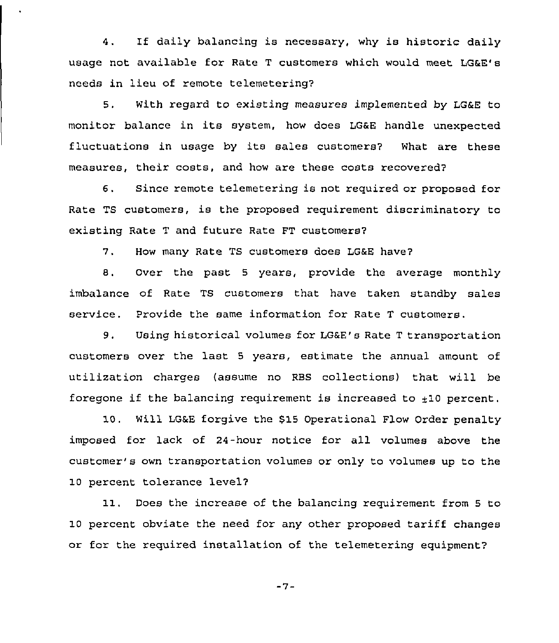4. If daily balancing is necessary, why is historic daily usage not available for Rate <sup>T</sup> customers which would meet LG&E's needs in lieu of remote telemetering7

5. With regard to existing measures implemented by LG&E to monitor balance in its system, how does LG&E handle unexpected fluctuations in usage by its sales customers? What are these measures, their costs, and how are these costs recovered'

6. Since remote telemetering is not required or proposed for Rate TS customers, is the proposed requirement discriminatory to existing Rate <sup>T</sup> and future Rate FT customers7

7. How many Rate TS customers does LG&E have7

B. Over the past 5 years, provide the average monthly imbalance of Rate TS customers that have taken standby sales service. Provide the same information for Rate <sup>T</sup> customers.

9. Using historical volumes for LG&E's Rate <sup>T</sup> transportation customers over the last <sup>5</sup> years, estimate the annual amount of utilization charges (assume no RES collections) that will be foregone if the balancing requirement is increased to  $\pm 10$  percent.

10. Will LG&E forgive the \$15 Operational Flow Order penalty imposed for lack of 24-hour notice for all volumes above the customer's own transportation volumes or only to volumes up to the 10 percent tolerance level7

11. Does the increase of the balancing requirement from <sup>5</sup> to 10 percent obviate the need for any other proposed tariff changes or for the required installation of the telemetering equipment7

 $-7-$